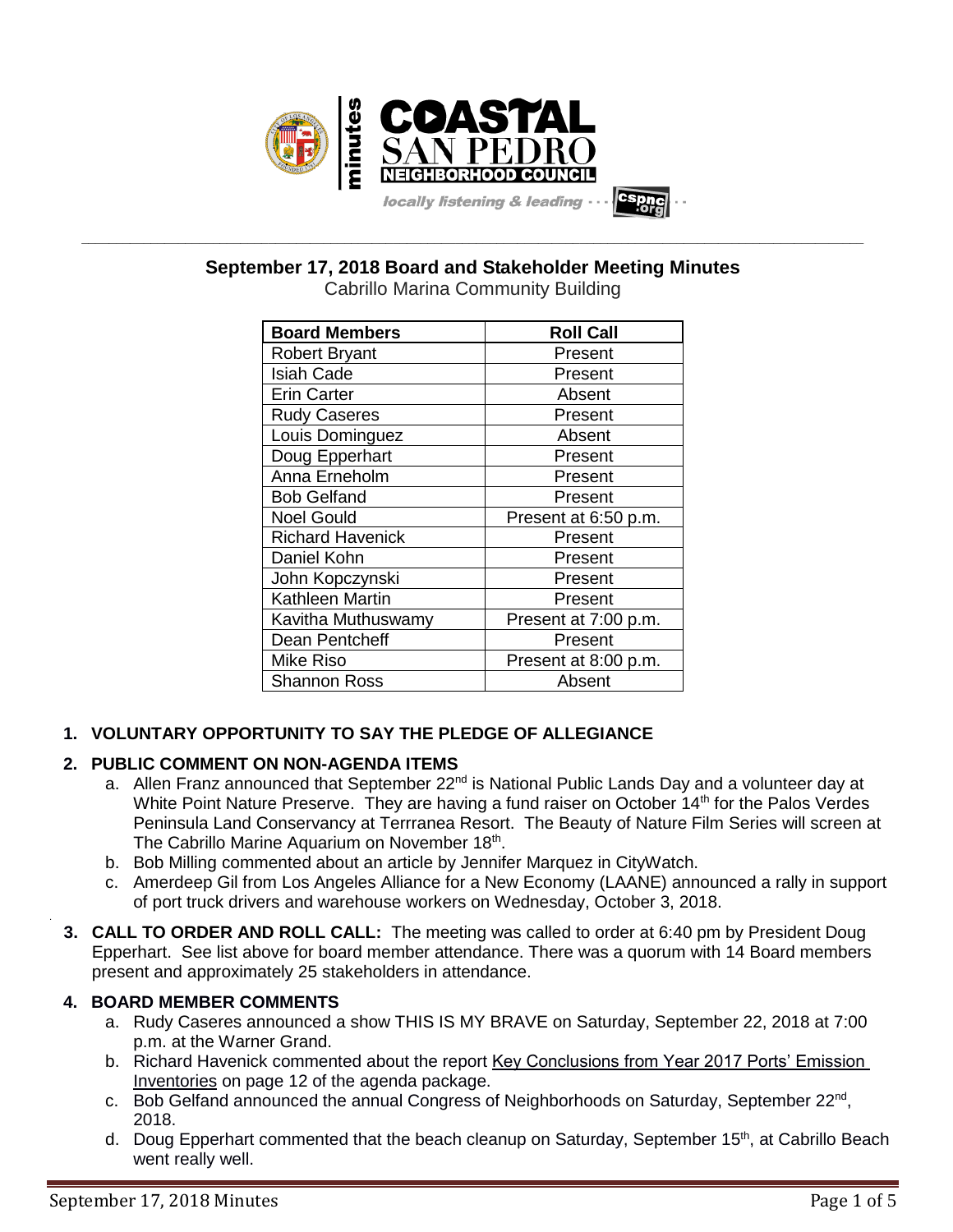

**\_\_\_\_\_\_\_\_\_\_\_\_\_\_\_\_\_\_\_\_\_\_\_\_\_\_\_\_\_\_\_\_\_\_\_\_\_\_\_\_\_\_\_\_\_\_\_\_\_\_\_\_\_\_\_\_\_\_\_\_\_\_\_\_\_\_\_\_\_\_\_\_\_\_\_\_\_\_\_\_\_\_\_\_\_\_\_\_\_\_\_\_\_\_\_\_\_\_\_\_\_\_\_\_\_\_\_\_\_\_\_\_\_ September 17, 2018 Board and Stakeholder Meeting Minutes**

| <b>Board Members</b>    | <b>Roll Call</b>     |
|-------------------------|----------------------|
| <b>Robert Bryant</b>    | Present              |
| <b>Isiah Cade</b>       | Present              |
| <b>Erin Carter</b>      | Absent               |
| <b>Rudy Caseres</b>     | Present              |
| Louis Dominguez         | Absent               |
| Doug Epperhart          | Present              |
| Anna Erneholm           | Present              |
| <b>Bob Gelfand</b>      | Present              |
| <b>Noel Gould</b>       | Present at 6:50 p.m. |
| <b>Richard Havenick</b> | Present              |
| Daniel Kohn             | Present              |
| John Kopczynski         | Present              |
| <b>Kathleen Martin</b>  | Present              |
| Kavitha Muthuswamy      | Present at 7:00 p.m. |
| Dean Pentcheff          | Present              |
| <b>Mike Riso</b>        | Present at 8:00 p.m. |
| <b>Shannon Ross</b>     | Absent               |

# **1. VOLUNTARY OPPORTUNITY TO SAY THE PLEDGE OF ALLEGIANCE**

# **2. PUBLIC COMMENT ON NON-AGENDA ITEMS**

- a. Allen Franz announced that September 22<sup>nd</sup> is National Public Lands Day and a volunteer day at White Point Nature Preserve. They are having a fund raiser on October 14<sup>th</sup> for the Palos Verdes Peninsula Land Conservancy at Terrranea Resort. The Beauty of Nature Film Series will screen at The Cabrillo Marine Aquarium on November 18<sup>th</sup>.
- b. Bob Milling commented about an article by Jennifer Marquez in CityWatch.
- c. Amerdeep Gil from Los Angeles Alliance for a New Economy (LAANE) announced a rally in support of port truck drivers and warehouse workers on Wednesday, October 3, 2018.
- **3. CALL TO ORDER AND ROLL CALL:** The meeting was called to order at 6:40 pm by President Doug Epperhart. See list above for board member attendance. There was a quorum with 14 Board members present and approximately 25 stakeholders in attendance.

# **4. BOARD MEMBER COMMENTS**

.

- a. Rudy Caseres announced a show THIS IS MY BRAVE on Saturday, September 22, 2018 at 7:00 p.m. at the Warner Grand.
- b. Richard Havenick commented about the report Key Conclusions from Year 2017 Ports' Emission Inventories on page 12 of the agenda package.
- c. Bob Gelfand announced the annual Congress of Neighborhoods on Saturday, September 22<sup>nd</sup>, 2018.
- d. Doug Epperhart commented that the beach cleanup on Saturday, September 15<sup>th</sup>, at Cabrillo Beach went really well.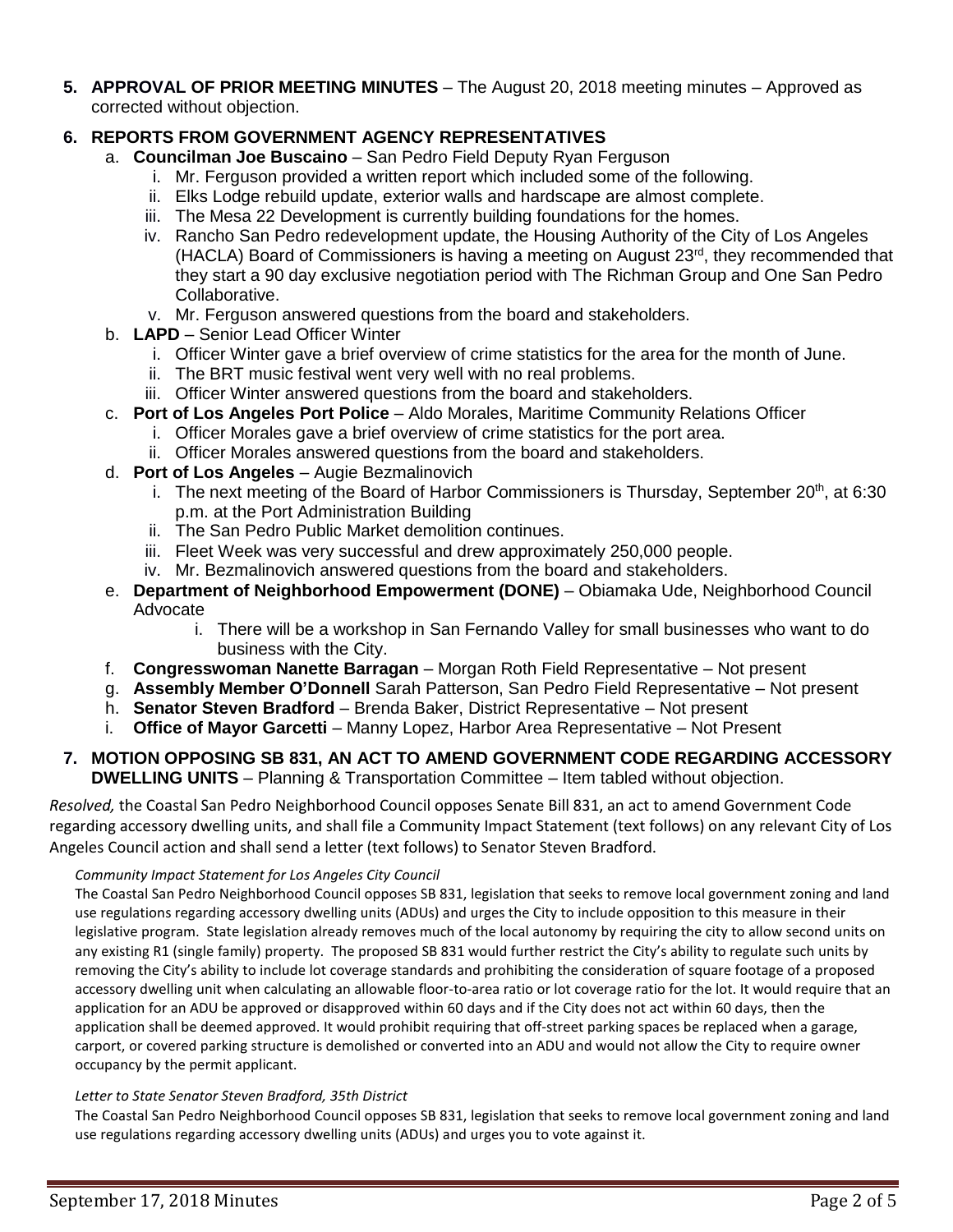**5. APPROVAL OF PRIOR MEETING MINUTES** – The August 20, 2018 meeting minutes – Approved as corrected without objection.

# **6. REPORTS FROM GOVERNMENT AGENCY REPRESENTATIVES**

- a. **Councilman Joe Buscaino** San Pedro Field Deputy Ryan Ferguson
	- i. Mr. Ferguson provided a written report which included some of the following.
	- ii. Elks Lodge rebuild update, exterior walls and hardscape are almost complete.
	- iii. The Mesa 22 Development is currently building foundations for the homes.
	- iv. Rancho San Pedro redevelopment update, the Housing Authority of the City of Los Angeles (HACLA) Board of Commissioners is having a meeting on August 23<sup>rd</sup>, they recommended that they start a 90 day exclusive negotiation period with The Richman Group and One San Pedro Collaborative.
	- v. Mr. Ferguson answered questions from the board and stakeholders.
- b. **LAPD** Senior Lead Officer Winter
	- i. Officer Winter gave a brief overview of crime statistics for the area for the month of June.
	- ii. The BRT music festival went very well with no real problems.
	- iii. Officer Winter answered questions from the board and stakeholders.
- c. **Port of Los Angeles Port Police** Aldo Morales, Maritime Community Relations Officer
	- i. Officer Morales gave a brief overview of crime statistics for the port area.
	- ii. Officer Morales answered questions from the board and stakeholders.
- d. **Port of Los Angeles** Augie Bezmalinovich
	- i. The next meeting of the Board of Harbor Commissioners is Thursday, September  $20<sup>th</sup>$ , at 6:30 p.m. at the Port Administration Building
	- ii. The San Pedro Public Market demolition continues.
	- iii. Fleet Week was very successful and drew approximately 250,000 people.
	- iv. Mr. Bezmalinovich answered questions from the board and stakeholders.
- e. **Department of Neighborhood Empowerment (DONE)** Obiamaka Ude, Neighborhood Council Advocate
	- i. There will be a workshop in San Fernando Valley for small businesses who want to do business with the City.
- f. **Congresswoman Nanette Barragan** Morgan Roth Field Representative Not present
- g. **Assembly Member O'Donnell** Sarah Patterson, San Pedro Field Representative Not present
- h. **Senator Steven Bradford** Brenda Baker, District Representative Not present
- i. **Office of Mayor Garcetti** Manny Lopez, Harbor Area Representative Not Present

## **7. MOTION OPPOSING SB 831, AN ACT TO AMEND GOVERNMENT CODE REGARDING ACCESSORY DWELLING UNITS** – Planning & Transportation Committee – Item tabled without objection.

*Resolved,* the Coastal San Pedro Neighborhood Council opposes Senate Bill 831, an act to amend Government Code regarding accessory dwelling units, and shall file a Community Impact Statement (text follows) on any relevant City of Los Angeles Council action and shall send a letter (text follows) to Senator Steven Bradford.

## *Community Impact Statement for Los Angeles City Council*

The Coastal San Pedro Neighborhood Council opposes SB 831, legislation that seeks to remove local government zoning and land use regulations regarding accessory dwelling units (ADUs) and urges the City to include opposition to this measure in their legislative program. State legislation already removes much of the local autonomy by requiring the city to allow second units on any existing R1 (single family) property. The proposed SB 831 would further restrict the City's ability to regulate such units by removing the City's ability to include lot coverage standards and prohibiting the consideration of square footage of a proposed accessory dwelling unit when calculating an allowable floor-to-area ratio or lot coverage ratio for the lot. It would require that an application for an ADU be approved or disapproved within 60 days and if the City does not act within 60 days, then the application shall be deemed approved. It would prohibit requiring that off-street parking spaces be replaced when a garage, carport, or covered parking structure is demolished or converted into an ADU and would not allow the City to require owner occupancy by the permit applicant.

#### *Letter to State Senator Steven Bradford, 35th District*

The Coastal San Pedro Neighborhood Council opposes SB 831, legislation that seeks to remove local government zoning and land use regulations regarding accessory dwelling units (ADUs) and urges you to vote against it.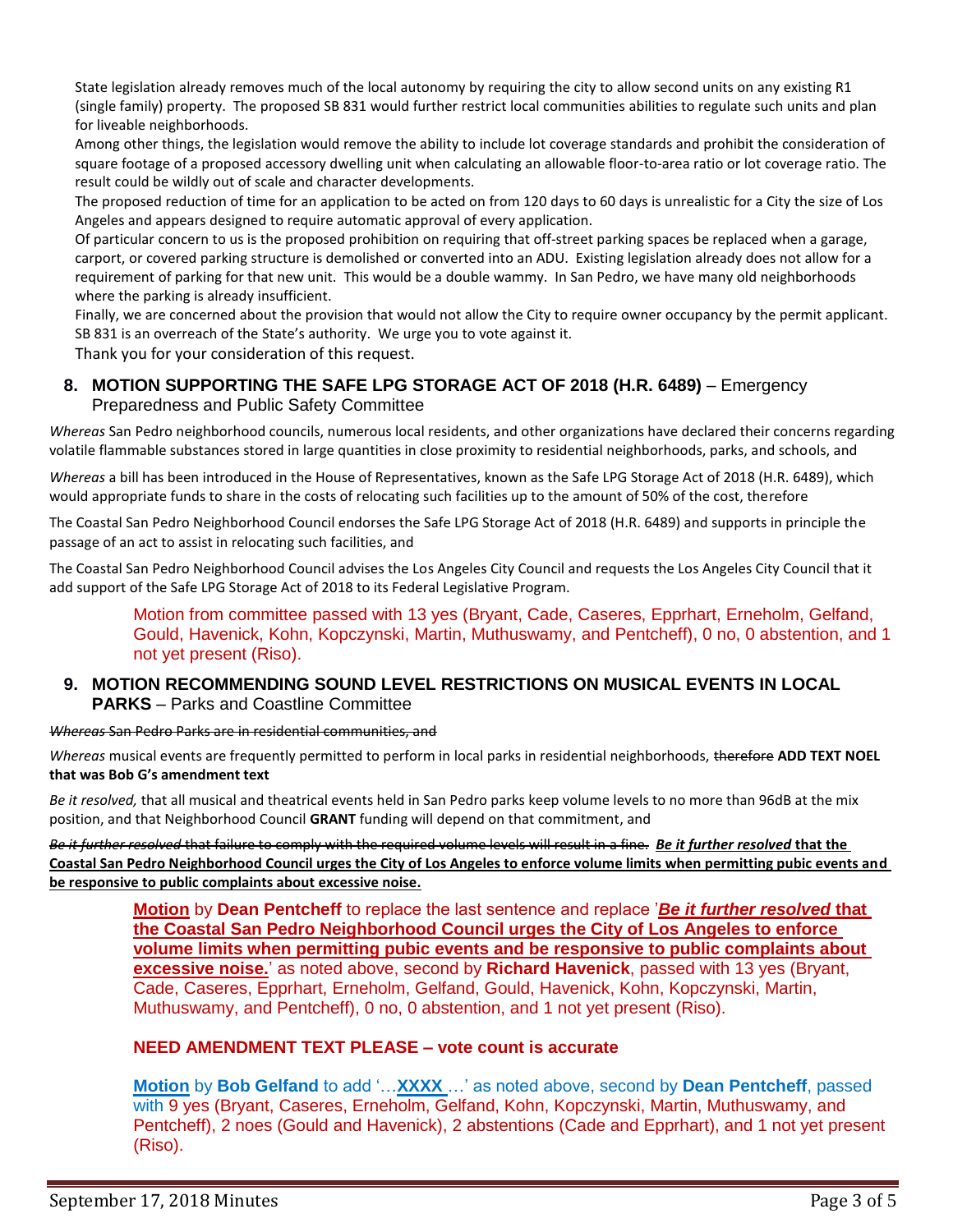State legislation already removes much of the local autonomy by requiring the city to allow second units on any existing R1 (single family) property. The proposed SB 831 would further restrict local communities abilities to regulate such units and plan for liveable neighborhoods.

Among other things, the legislation would remove the ability to include lot coverage standards and prohibit the consideration of square footage of a proposed accessory dwelling unit when calculating an allowable floor-to-area ratio or lot coverage ratio. The result could be wildly out of scale and character developments.

The proposed reduction of time for an application to be acted on from 120 days to 60 days is unrealistic for a City the size of Los Angeles and appears designed to require automatic approval of every application.

Of particular concern to us is the proposed prohibition on requiring that off-street parking spaces be replaced when a garage, carport, or covered parking structure is demolished or converted into an ADU. Existing legislation already does not allow for a requirement of parking for that new unit. This would be a double wammy. In San Pedro, we have many old neighborhoods where the parking is already insufficient.

Finally, we are concerned about the provision that would not allow the City to require owner occupancy by the permit applicant. SB 831 is an overreach of the State's authority. We urge you to vote against it.

Thank you for your consideration of this request.

## **8. MOTION SUPPORTING THE SAFE LPG STORAGE ACT OF 2018 (H.R. 6489)** – Emergency Preparedness and Public Safety Committee

*Whereas* San Pedro neighborhood councils, numerous local residents, and other organizations have declared their concerns regarding volatile flammable substances stored in large quantities in close proximity to residential neighborhoods, parks, and schools, and

*Whereas* a bill has been introduced in the House of Representatives, known as the Safe LPG Storage Act of 2018 (H.R. 6489), which would appropriate funds to share in the costs of relocating such facilities up to the amount of 50% of the cost, therefore

The Coastal San Pedro Neighborhood Council endorses the Safe LPG Storage Act of 2018 (H.R. 6489) and supports in principle the passage of an act to assist in relocating such facilities, and

The Coastal San Pedro Neighborhood Council advises the Los Angeles City Council and requests the Los Angeles City Council that it add support of the Safe LPG Storage Act of 2018 to its Federal Legislative Program.

> Motion from committee passed with 13 yes (Bryant, Cade, Caseres, Epprhart, Erneholm, Gelfand, Gould, Havenick, Kohn, Kopczynski, Martin, Muthuswamy, and Pentcheff), 0 no, 0 abstention, and 1 not yet present (Riso).

## **9. MOTION RECOMMENDING SOUND LEVEL RESTRICTIONS ON MUSICAL EVENTS IN LOCAL PARKS** – Parks and Coastline Committee

*Whereas* San Pedro Parks are in residential communities, and

*Whereas* musical events are frequently permitted to perform in local parks in residential neighborhoods, therefore **ADD TEXT NOEL that was Bob G's amendment text** 

*Be it resolved,* that all musical and theatrical events held in San Pedro parks keep volume levels to no more than 96dB at the mix position, and that Neighborhood Council **GRANT** funding will depend on that commitment, and

*Be it further resolved* that failure to comply with the required volume levels will result in a fine. *Be it further resolved* **that the Coastal San Pedro Neighborhood Council urges the City of Los Angeles to enforce volume limits when permitting pubic events and be responsive to public complaints about excessive noise.**

**Motion** by **Dean Pentcheff** to replace the last sentence and replace '*Be it further resolved* **that the Coastal San Pedro Neighborhood Council urges the City of Los Angeles to enforce volume limits when permitting pubic events and be responsive to public complaints about excessive noise.**' as noted above, second by **Richard Havenick**, passed with 13 yes (Bryant, Cade, Caseres, Epprhart, Erneholm, Gelfand, Gould, Havenick, Kohn, Kopczynski, Martin, Muthuswamy, and Pentcheff), 0 no, 0 abstention, and 1 not yet present (Riso).

## **NEED AMENDMENT TEXT PLEASE – vote count is accurate**

**Motion** by **Bob Gelfand** to add '…**XXXX** …' as noted above, second by **Dean Pentcheff**, passed with 9 yes (Bryant, Caseres, Erneholm, Gelfand, Kohn, Kopczynski, Martin, Muthuswamy, and Pentcheff), 2 noes (Gould and Havenick), 2 abstentions (Cade and Epprhart), and 1 not yet present (Riso).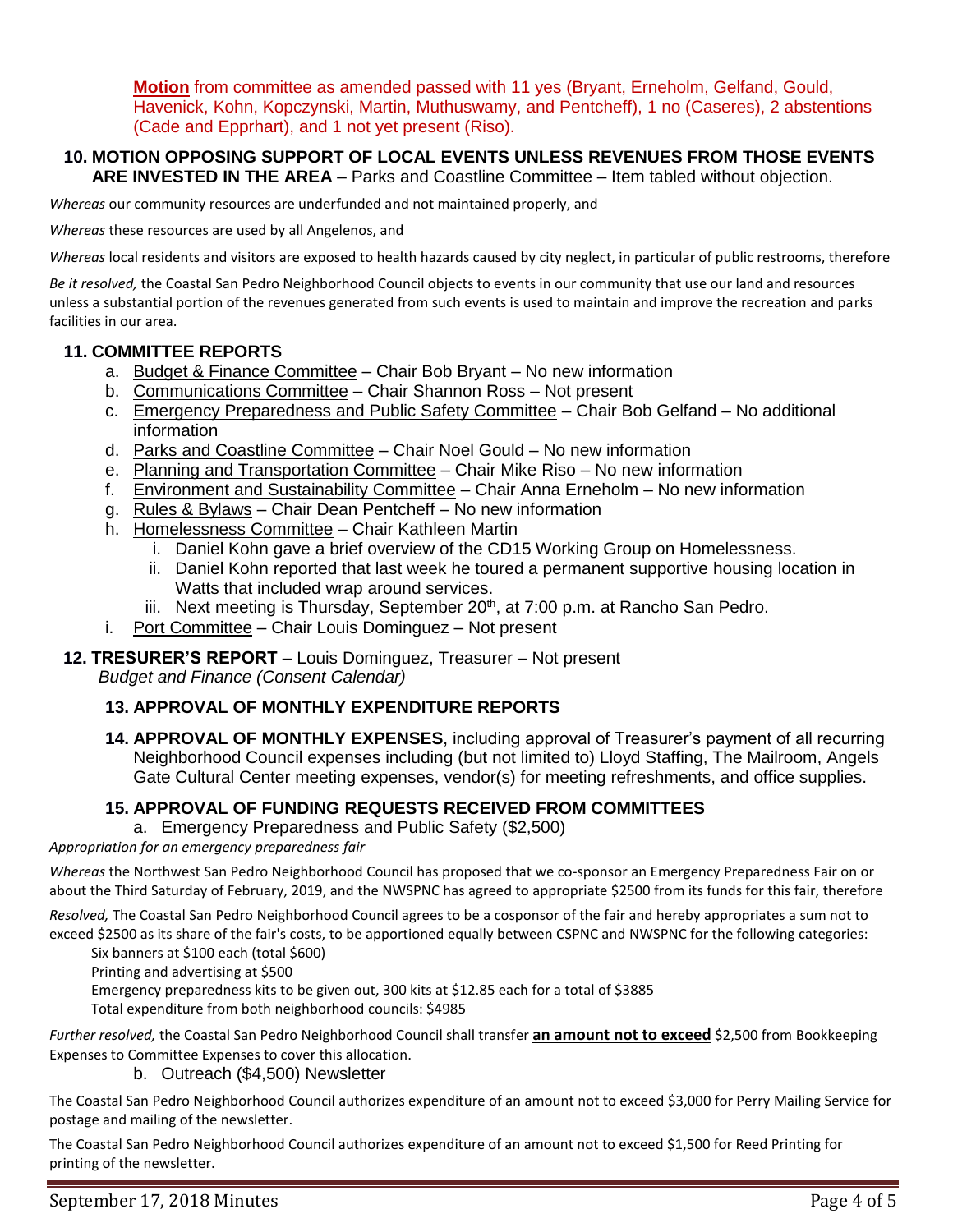**Motion** from committee as amended passed with 11 yes (Bryant, Erneholm, Gelfand, Gould, Havenick, Kohn, Kopczynski, Martin, Muthuswamy, and Pentcheff), 1 no (Caseres), 2 abstentions (Cade and Epprhart), and 1 not yet present (Riso).

#### **10. MOTION OPPOSING SUPPORT OF LOCAL EVENTS UNLESS REVENUES FROM THOSE EVENTS ARE INVESTED IN THE AREA** – Parks and Coastline Committee – Item tabled without objection.

*Whereas* our community resources are underfunded and not maintained properly, and

*Whereas* these resources are used by all Angelenos, and

*Whereas* local residents and visitors are exposed to health hazards caused by city neglect, in particular of public restrooms, therefore

*Be it resolved,* the Coastal San Pedro Neighborhood Council objects to events in our community that use our land and resources unless a substantial portion of the revenues generated from such events is used to maintain and improve the recreation and parks facilities in our area.

#### **11. COMMITTEE REPORTS**

- a. Budget & Finance Committee Chair Bob Bryant No new information
- b. Communications Committee Chair Shannon Ross Not present
- c. Emergency Preparedness and Public Safety Committee Chair Bob Gelfand No additional information
- d. Parks and Coastline Committee Chair Noel Gould No new information
- e. Planning and Transportation Committee Chair Mike Riso No new information
- f. Environment and Sustainability Committee Chair Anna Erneholm No new information
- g. Rules & Bylaws Chair Dean Pentcheff No new information
- h. Homelessness Committee Chair Kathleen Martin
	- i. Daniel Kohn gave a brief overview of the CD15 Working Group on Homelessness.
	- ii. Daniel Kohn reported that last week he toured a permanent supportive housing location in Watts that included wrap around services.
	- iii. Next meeting is Thursday, September  $20<sup>th</sup>$ , at  $7:00$  p.m. at Rancho San Pedro.
- i. Port Committee Chair Louis Dominguez Not present

# **12. TRESURER'S REPORT** – Louis Dominguez, Treasurer – Not present

*Budget and Finance (Consent Calendar)*

#### **13. APPROVAL OF MONTHLY EXPENDITURE REPORTS**

**14. APPROVAL OF MONTHLY EXPENSES**, including approval of Treasurer's payment of all recurring Neighborhood Council expenses including (but not limited to) Lloyd Staffing, The Mailroom, Angels Gate Cultural Center meeting expenses, vendor(s) for meeting refreshments, and office supplies.

#### **15. APPROVAL OF FUNDING REQUESTS RECEIVED FROM COMMITTEES**

a. Emergency Preparedness and Public Safety (\$2,500)

*Appropriation for an emergency preparedness fair*

*Whereas* the Northwest San Pedro Neighborhood Council has proposed that we co-sponsor an Emergency Preparedness Fair on or about the Third Saturday of February, 2019, and the NWSPNC has agreed to appropriate \$2500 from its funds for this fair, therefore

*Resolved,* The Coastal San Pedro Neighborhood Council agrees to be a cosponsor of the fair and hereby appropriates a sum not to exceed \$2500 as its share of the fair's costs, to be apportioned equally between CSPNC and NWSPNC for the following categories:

Six banners at \$100 each (total \$600)

Printing and advertising at \$500

Emergency preparedness kits to be given out, 300 kits at \$12.85 each for a total of \$3885

Total expenditure from both neighborhood councils: \$4985

*Further resolved,* the Coastal San Pedro Neighborhood Council shall transfer **an amount not to exceed** \$2,500 from Bookkeeping Expenses to Committee Expenses to cover this allocation.

b. Outreach (\$4,500) Newsletter

The Coastal San Pedro Neighborhood Council authorizes expenditure of an amount not to exceed \$3,000 for Perry Mailing Service for postage and mailing of the newsletter.

The Coastal San Pedro Neighborhood Council authorizes expenditure of an amount not to exceed \$1,500 for Reed Printing for printing of the newsletter.